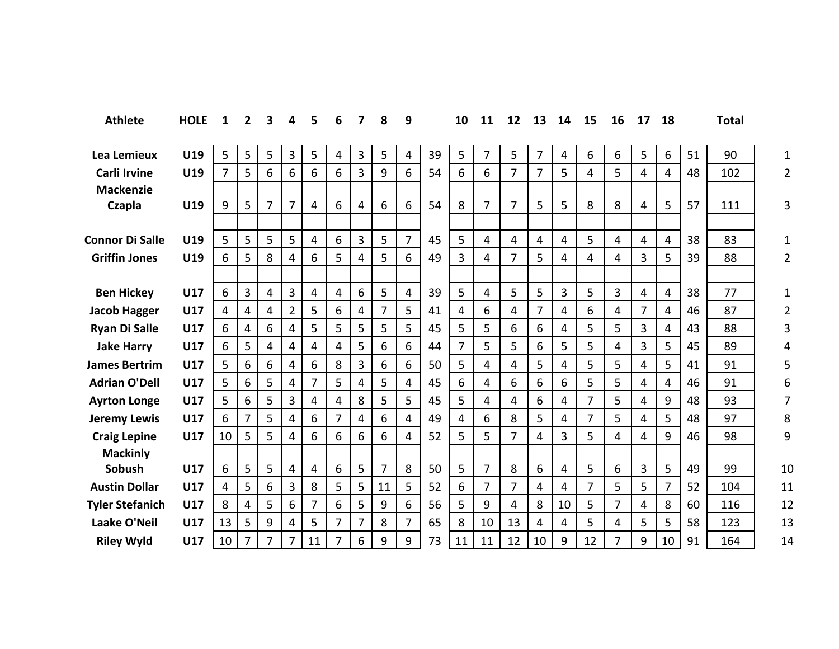| <b>Athlete</b>         | <b>HOLE</b> | $\mathbf{1}$   | 2              | 3 | 4              | 5                       | 6 | 7              | 8              | 9              |    | 10 | 11             | 12             | 13             | 14             | 15             | 16             | 17             | 18             |    | <b>Total</b> |                |
|------------------------|-------------|----------------|----------------|---|----------------|-------------------------|---|----------------|----------------|----------------|----|----|----------------|----------------|----------------|----------------|----------------|----------------|----------------|----------------|----|--------------|----------------|
| Lea Lemieux            | U19         | 5              | 5              | 5 | $\overline{3}$ | 5                       | 4 | 3              | 5              | 4              | 39 | 5  | $\overline{7}$ | 5              | $\overline{7}$ | 4              | 6              | 6              | 5              | 6              | 51 | 90           | $\mathbf{1}$   |
| <b>Carli Irvine</b>    | U19         | $\overline{7}$ | 5              | 6 | 6              | 6                       | 6 | 3              | 9              | 6              | 54 | 6  | 6              | 7              | $\overline{7}$ | 5              | 4              | 5              | $\overline{4}$ | 4              | 48 | 102          | $\overline{2}$ |
| <b>Mackenzie</b>       |             |                |                |   |                |                         |   |                |                | 6              | 54 |    | $\overline{7}$ | $\overline{7}$ |                |                |                |                |                |                |    |              |                |
| Czapla                 | U19         | 9              | 5              | 7 | 7              | 4                       | 6 | 4              | 6              |                |    | 8  |                |                | 5              | 5              | 8              | 8              | 4              | 5              | 57 | 111          | 3              |
| <b>Connor Di Salle</b> | U19         | 5              | 5              | 5 | 5              | $\overline{4}$          | 6 | $\overline{3}$ | 5              | $\overline{7}$ | 45 | 5  | 4              | 4              | 4              | 4              | 5              | 4              | 4              | 4              | 38 | 83           | 1              |
| <b>Griffin Jones</b>   | U19         | 6              | 5              | 8 | 4              | 6                       | 5 | 4              | 5              | 6              | 49 | 3  | 4              | 7              | 5              | 4              | 4              | 4              | 3              | 5              | 39 | 88           | $\overline{2}$ |
|                        |             |                |                |   |                |                         |   |                |                |                |    |    |                |                |                |                |                |                |                |                |    |              |                |
| <b>Ben Hickey</b>      | U17         | 6              | 3              | 4 | 3              | 4                       | 4 | 6              | 5              | $\overline{4}$ | 39 | 5  | 4              | 5              | 5              | 3              | 5              | 3              | 4              | $\overline{4}$ | 38 | 77           | $\mathbf{1}$   |
| <b>Jacob Hagger</b>    | U17         | 4              | 4              | 4 | $\overline{2}$ | 5                       | 6 | $\overline{4}$ | $\overline{7}$ | 5              | 41 | 4  | 6              | 4              | $\overline{7}$ | 4              | 6              | 4              | $\overline{7}$ | 4              | 46 | 87           | $\overline{2}$ |
| <b>Ryan Di Salle</b>   | U17         | 6              | $\overline{4}$ | 6 | 4              | 5                       | 5 | 5              | 5              | 5              | 45 | 5  | 5              | 6              | 6              | 4              | 5              | 5              | 3              | 4              | 43 | 88           | 3              |
| <b>Jake Harry</b>      | U17         | 6              | 5              | 4 | 4              | 4                       | 4 | 5              | 6              | 6              | 44 | 7  | 5              | 5              | 6              | 5              | 5              | 4              | 3              | 5              | 45 | 89           | 4              |
| <b>James Bertrim</b>   | U17         | 5              | 6              | 6 | 4              | 6                       | 8 | $\overline{3}$ | 6              | 6              | 50 | 5  | $\overline{4}$ | 4              | 5              | $\overline{4}$ | 5              | 5              | $\overline{4}$ | 5              | 41 | 91           | 5              |
| <b>Adrian O'Dell</b>   | <b>U17</b>  | 5              | 6              | 5 | 4              | $\overline{7}$          | 5 | $\overline{4}$ | 5              | $\overline{4}$ | 45 | 6  | 4              | 6              | 6              | 6              | 5              | 5              | $\overline{4}$ | 4              | 46 | 91           | 6              |
| <b>Ayrton Longe</b>    | U17         | 5              | 6              | 5 | 3              | $\overline{4}$          | 4 | 8              | 5              | 5              | 45 | 5  | 4              | 4              | 6              | 4              | $\overline{7}$ | 5              | 4              | 9              | 48 | 93           | 7              |
| <b>Jeremy Lewis</b>    | U17         | 6              | 7              | 5 | 4              | 6                       | 7 | 4              | 6              | 4              | 49 | 4  | 6              | 8              | 5              | 4              | 7              | 5              | 4              | 5              | 48 | 97           | 8              |
| <b>Craig Lepine</b>    | U17         | 10             | 5              | 5 | 4              | 6                       | 6 | 6              | 6              | $\overline{4}$ | 52 | 5  | 5              | $\overline{7}$ | 4              | 3              | 5              | 4              | 4              | 9              | 46 | 98           | 9              |
| <b>Mackinly</b>        |             |                |                |   |                |                         |   |                |                |                |    |    |                |                |                |                |                |                |                |                |    |              |                |
| Sobush                 | U17         | 6              | 5              | 5 | 4              | $\overline{\mathbf{4}}$ | 6 | 5              | $\overline{7}$ | 8              | 50 | 5  | $\overline{7}$ | 8              | 6              | 4              | 5              | 6              | 3              | 5              | 49 | 99           | 10             |
| <b>Austin Dollar</b>   | U17         | 4              | 5              | 6 | 3              | 8                       | 5 | 5              | 11             | 5              | 52 | 6  | 7              | $\overline{7}$ | $\overline{4}$ | $\overline{4}$ | $\overline{7}$ | 5              | 5              | 7              | 52 | 104          | 11             |
| <b>Tyler Stefanich</b> | U17         | 8              | 4              | 5 | 6              | $\overline{7}$          | 6 | 5              | 9              | 6              | 56 | 5  | 9              | 4              | 8              | 10             | 5              | $\overline{7}$ | 4              | 8              | 60 | 116          | 12             |
| Laake O'Neil           | U17         | 13             | 5              | 9 | 4              | 5                       | 7 | $\overline{7}$ | 8              | $\overline{7}$ | 65 | 8  | 10             | 13             | 4              | 4              | 5              | 4              | 5              | 5              | 58 | 123          | 13             |
| <b>Riley Wyld</b>      | U17         | 10             | 7              | 7 | 7              | 11                      | 7 | 6              | 9              | 9              | 73 | 11 | 11             | 12             | 10             | 9              | 12             | 7              | 9              | 10             | 91 | 164          | 14             |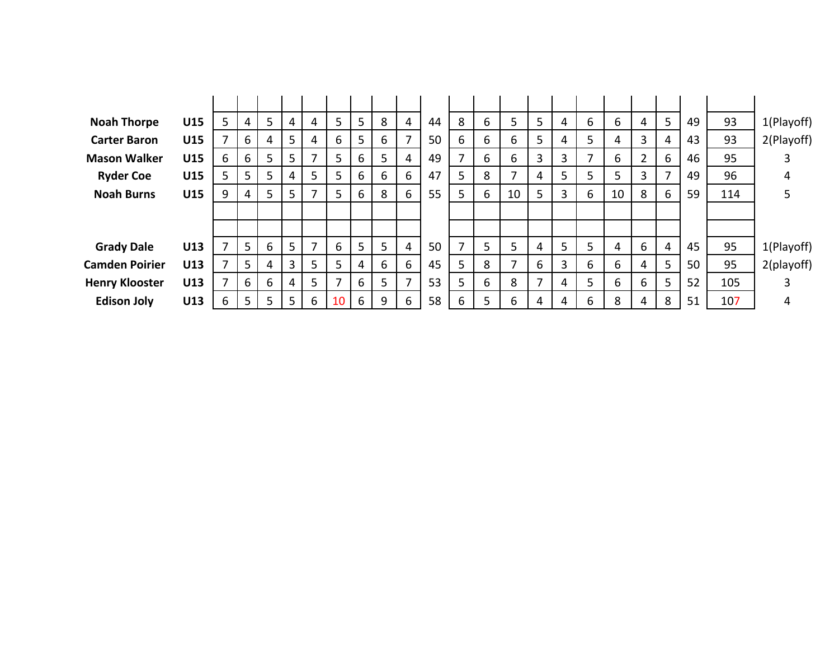| <b>Noah Thorpe</b>    | U15 | 5 | 4 | 5 | 4              | 4 | 5  | 5 | 8 | 4                        | 44 | 8 | 6 | 5  | 5 | 4  | 6 | 6  | 4 | 5 | 49 | 93  | 1(Playoff) |
|-----------------------|-----|---|---|---|----------------|---|----|---|---|--------------------------|----|---|---|----|---|----|---|----|---|---|----|-----|------------|
| <b>Carter Baron</b>   | U15 | 7 | 6 | 4 | 5              | 4 | 6  | 5 | 6 | $\overline{\phantom{a}}$ | 50 | 6 | 6 | 6  | 5 | 4  | 5 | 4  | 3 | 4 | 43 | 93  | 2(Playoff) |
| <b>Mason Walker</b>   | U15 | 6 | 6 | 5 | 5              |   | 5  | 6 | 5 | 4                        | 49 | ⇁ | 6 | 6  | 3 | 3  | 7 | 6  |   | 6 | 46 | 95  |            |
| <b>Ryder Coe</b>      | U15 | 5 | 5 | 5 | 4              | 5 | 5. | 6 | 6 | 6                        | 47 | 5 | 8 | ⇁  | 4 | 5. | 5 | 5  | 3 | 7 | 49 | 96  | 4          |
| <b>Noah Burns</b>     | U15 | 9 | 4 | 5 | 5              |   | 5. | 6 | 8 | 6                        | 55 | 5 | 6 | 10 | 5 | 3  | 6 | 10 | 8 | 6 | 59 | 114 | 5          |
|                       |     |   |   |   |                |   |    |   |   |                          |    |   |   |    |   |    |   |    |   |   |    |     |            |
|                       |     |   |   |   |                |   |    |   |   |                          |    |   |   |    |   |    |   |    |   |   |    |     |            |
| <b>Grady Dale</b>     | U13 | 7 | 5 | 6 | 5              | 7 | 6  | 5 | 5 | 4                        | 50 | 7 | 5 | 5  | 4 | 5. | 5 | 4  | 6 | 4 | 45 | 95  | 1(Playoff) |
| <b>Camden Poirier</b> | U13 | 7 | 5 | 4 | $\overline{3}$ | 5 | 5  | 4 | 6 | 6                        | 45 | 5 | 8 | ⇁  | 6 | 3  | 6 | 6  | 4 | 5 | 50 | 95  | 2(playoff) |
| <b>Henry Klooster</b> | U13 | 7 | 6 | 6 | 4              | 5 |    | 6 | 5 | $\overline{ }$           | 53 | 5 | 6 | 8  | 7 | 4  | 5 | 6  | 6 | 5 | 52 | 105 |            |
| <b>Edison Joly</b>    | U13 | 6 | 5 | 5 | 5              | 6 | 10 | 6 | 9 | 6                        | 58 | 6 | 5 | 6  | 4 | 4  | 6 | 8  | 4 | 8 | 51 | 107 | 4          |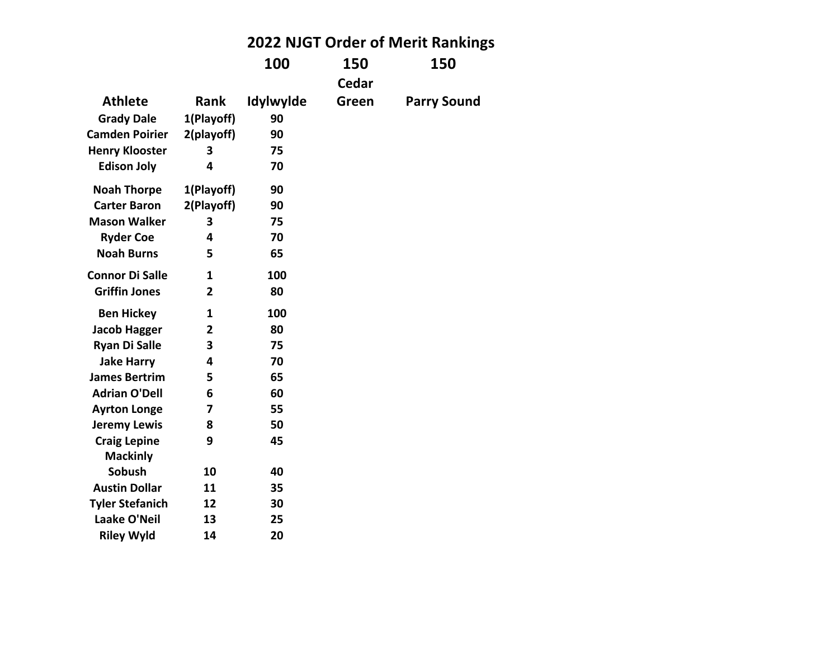|                        |                |           |       | 2022 NJGT Order of Merit Rankings |
|------------------------|----------------|-----------|-------|-----------------------------------|
|                        |                | 100       | 150   | 150                               |
|                        |                |           | Cedar |                                   |
| <b>Athlete</b>         | <b>Rank</b>    | Idylwylde | Green | <b>Parry Sound</b>                |
| <b>Grady Dale</b>      | 1(Playoff)     | 90        |       |                                   |
| <b>Camden Poirier</b>  | 2(playoff)     | 90        |       |                                   |
| <b>Henry Klooster</b>  | 3              | 75        |       |                                   |
| <b>Edison Joly</b>     | 4              | 70        |       |                                   |
| <b>Noah Thorpe</b>     | 1(Playoff)     | 90        |       |                                   |
| <b>Carter Baron</b>    | 2(Playoff)     | 90        |       |                                   |
| <b>Mason Walker</b>    | 3              | 75        |       |                                   |
| <b>Ryder Coe</b>       | 4              | 70        |       |                                   |
| <b>Noah Burns</b>      | 5              | 65        |       |                                   |
| <b>Connor Di Salle</b> | 1              | 100       |       |                                   |
| <b>Griffin Jones</b>   | $\overline{2}$ | 80        |       |                                   |
| <b>Ben Hickey</b>      | 1              | 100       |       |                                   |
| Jacob Hagger           | $\overline{2}$ | 80        |       |                                   |
| <b>Ryan Di Salle</b>   | 3              | 75        |       |                                   |
| <b>Jake Harry</b>      | 4              | 70        |       |                                   |
| <b>James Bertrim</b>   | 5              | 65        |       |                                   |
| <b>Adrian O'Dell</b>   | 6              | 60        |       |                                   |
| <b>Ayrton Longe</b>    | 7              | 55        |       |                                   |
| <b>Jeremy Lewis</b>    | 8              | 50        |       |                                   |
| <b>Craig Lepine</b>    | 9              | 45        |       |                                   |
| <b>Mackinly</b>        |                |           |       |                                   |
| Sobush                 | 10             | 40        |       |                                   |
| <b>Austin Dollar</b>   | 11             | 35        |       |                                   |
| <b>Tyler Stefanich</b> | 12             | 30        |       |                                   |
| Laake O'Neil           | 13             | 25        |       |                                   |
| <b>Riley Wyld</b>      | 14             | 20        |       |                                   |